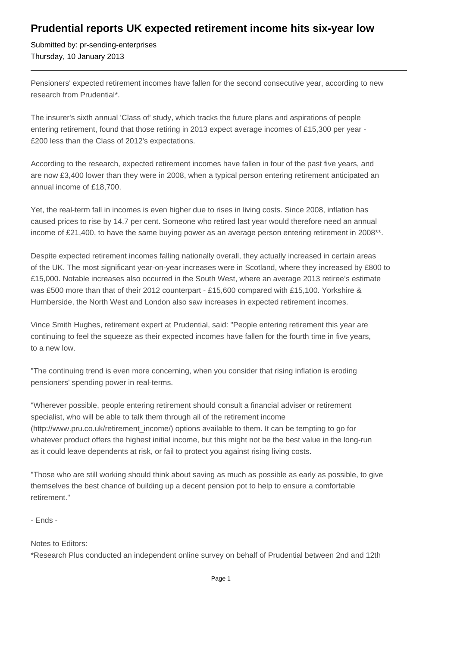## **Prudential reports UK expected retirement income hits six-year low**

Submitted by: pr-sending-enterprises Thursday, 10 January 2013

Pensioners' expected retirement incomes have fallen for the second consecutive year, according to new research from Prudential\*.

The insurer's sixth annual 'Class of' study, which tracks the future plans and aspirations of people entering retirement, found that those retiring in 2013 expect average incomes of £15,300 per year -£200 less than the Class of 2012's expectations.

According to the research, expected retirement incomes have fallen in four of the past five years, and are now £3,400 lower than they were in 2008, when a typical person entering retirement anticipated an annual income of £18,700.

Yet, the real-term fall in incomes is even higher due to rises in living costs. Since 2008, inflation has caused prices to rise by 14.7 per cent. Someone who retired last year would therefore need an annual income of £21,400, to have the same buying power as an average person entering retirement in 2008\*\*.

Despite expected retirement incomes falling nationally overall, they actually increased in certain areas of the UK. The most significant year-on-year increases were in Scotland, where they increased by £800 to £15,000. Notable increases also occurred in the South West, where an average 2013 retiree's estimate was £500 more than that of their 2012 counterpart - £15,600 compared with £15,100. Yorkshire & Humberside, the North West and London also saw increases in expected retirement incomes.

Vince Smith Hughes, retirement expert at Prudential, said: "People entering retirement this year are continuing to feel the squeeze as their expected incomes have fallen for the fourth time in five years, to a new low.

"The continuing trend is even more concerning, when you consider that rising inflation is eroding pensioners' spending power in real-terms.

"Wherever possible, people entering retirement should consult a financial adviser or retirement specialist, who will be able to talk them through all of the retirement income (http://www.pru.co.uk/retirement\_income/) options available to them. It can be tempting to go for whatever product offers the highest initial income, but this might not be the best value in the long-run as it could leave dependents at risk, or fail to protect you against rising living costs.

"Those who are still working should think about saving as much as possible as early as possible, to give themselves the best chance of building up a decent pension pot to help to ensure a comfortable retirement."

- Ends -

## Notes to Editors:

\*Research Plus conducted an independent online survey on behalf of Prudential between 2nd and 12th